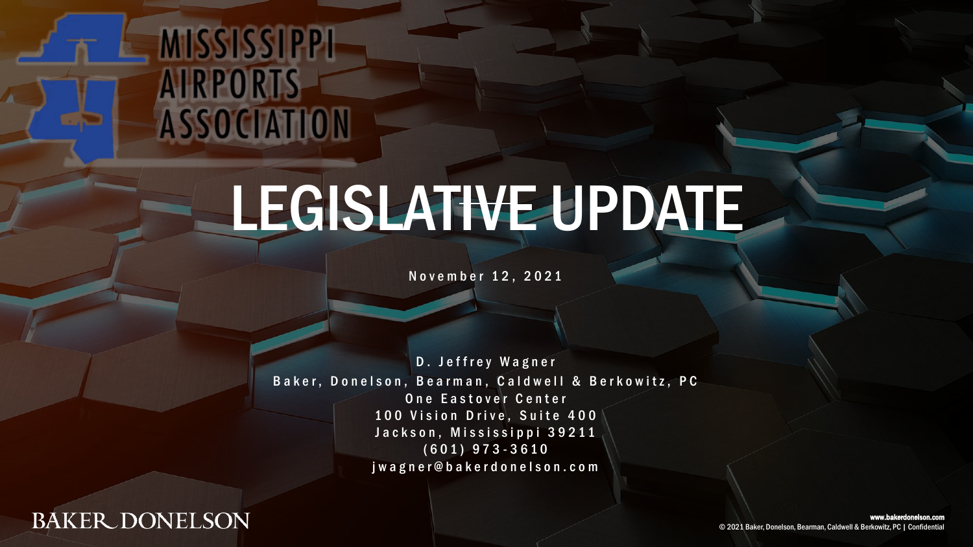### MISSISSIPPI **AIRPORTS** ASSOCIATION

## LEGISLATIVE UPDATE

November 12, 2021

D. Jeffrey Wagner Baker, Donelson, Bearman, Caldwell & Berkowitz, PC One Eastover Center 100 Vision Drive, Suite 400 Jackson, Mississippi 39211 ( 6 0 1 ) 9 7 3 - 3 6 1 0 j w a g n e r @ b a k e r d o n e l s o n . c o m

**BAKER DONELSON** 

www.bakerdonelson.com © 2021 Baker, Donelson, Bearman, Caldwell & Berkowitz, PC | Confidential © 2021 Baker, Donelson, Bearman, Caldwell & Berkowitz, PC | Confidential www.bakerdonelson.com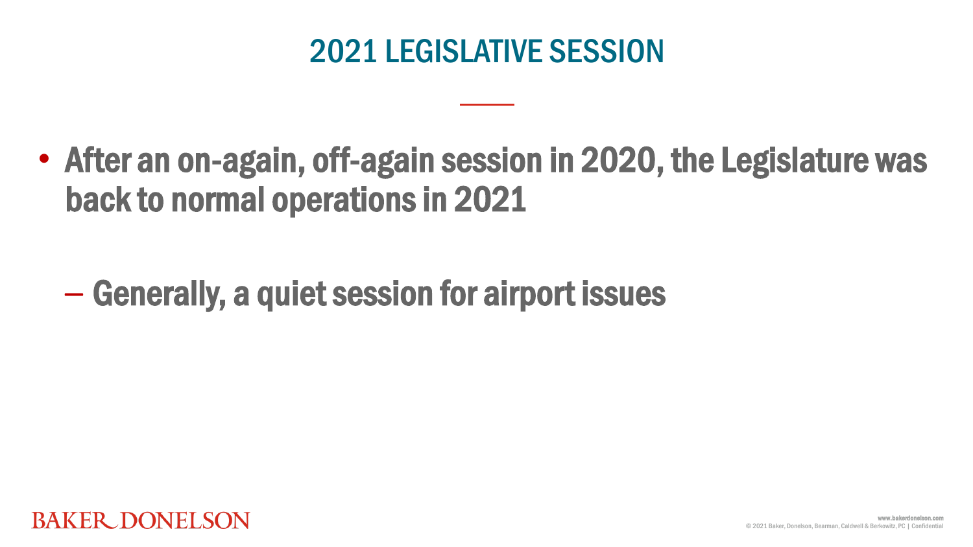#### 2021 LEGISLATIVE SESSION

• After an on-again, off-again session in 2020, the Legislature was back to normal operations in 2021

– Generally, a quiet session for airport issues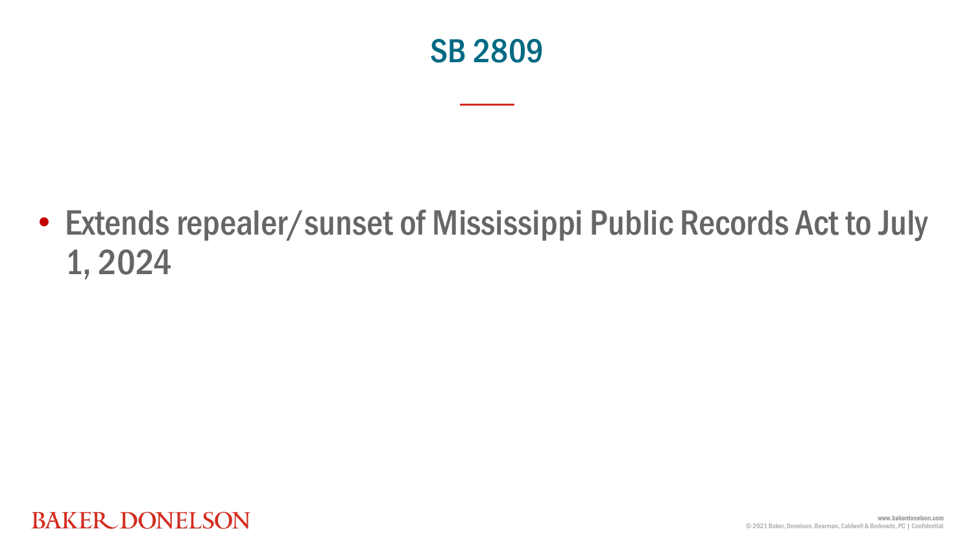

• Extends repealer/sunset of Mississippi Public Records Act to July 1, 2024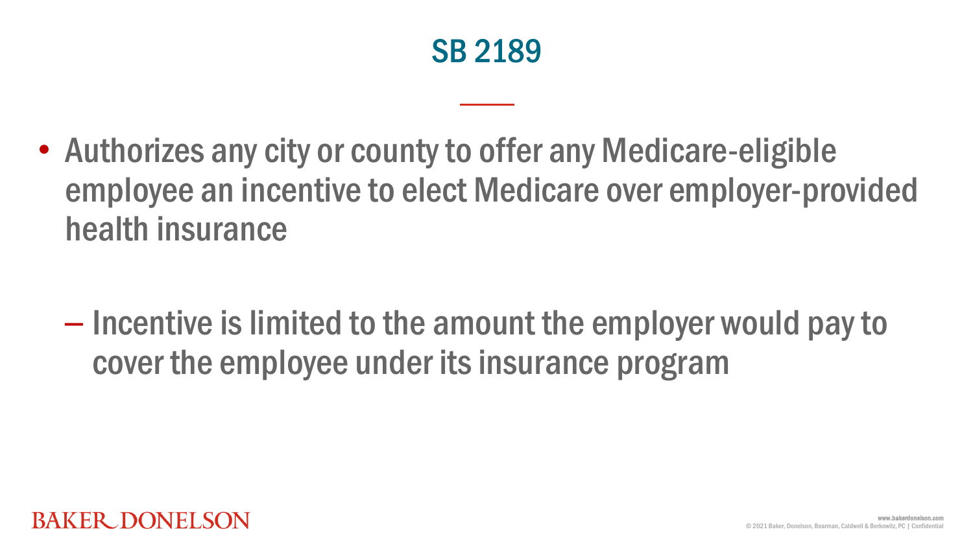

• Authorizes any city or county to offer any Medicare-eligible employee an incentive to elect Medicare over employer-provided health insurance

– Incentive is limited to the amount the employer would pay to cover the employee under its insurance program

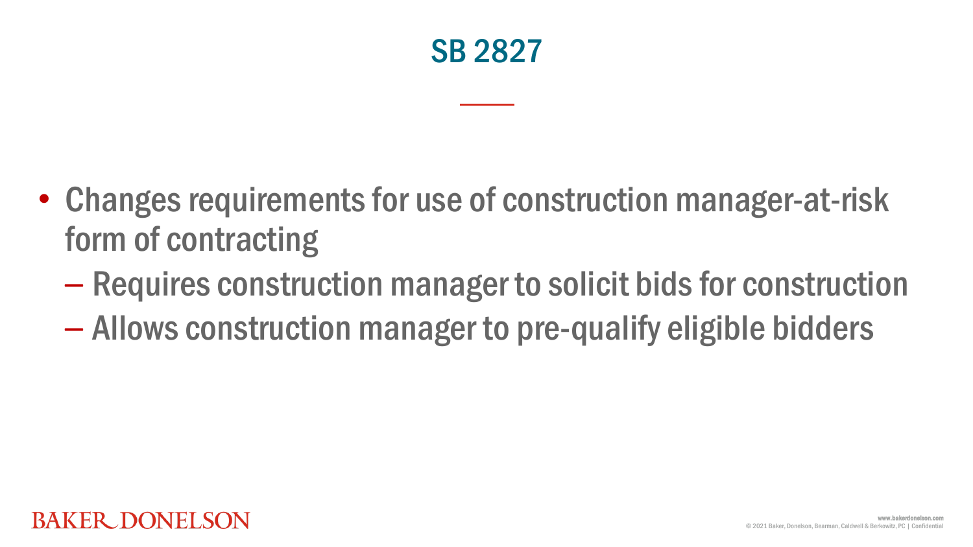

- Changes requirements for use of construction manager-at-risk form of contracting
	- Requires construction manager to solicit bids for construction
	- Allows construction manager to pre-qualify eligible bidders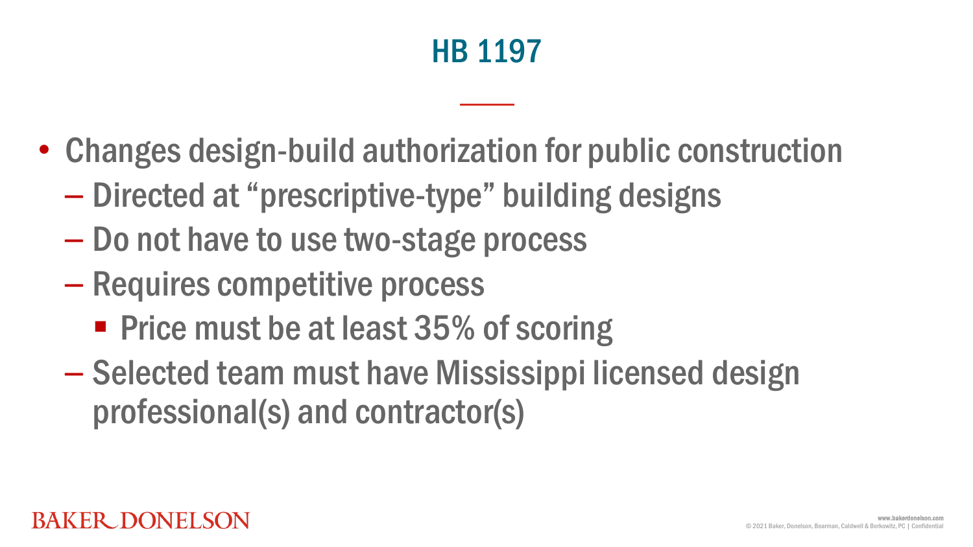#### HB 1197

- Changes design-build authorization for public construction
	- Directed at "prescriptive-type" building designs
	- Do not have to use two-stage process
	- Requires competitive process
		- **Price must be at least 35% of scoring**
	- Selected team must have Mississippi licensed design professional(s) and contractor(s)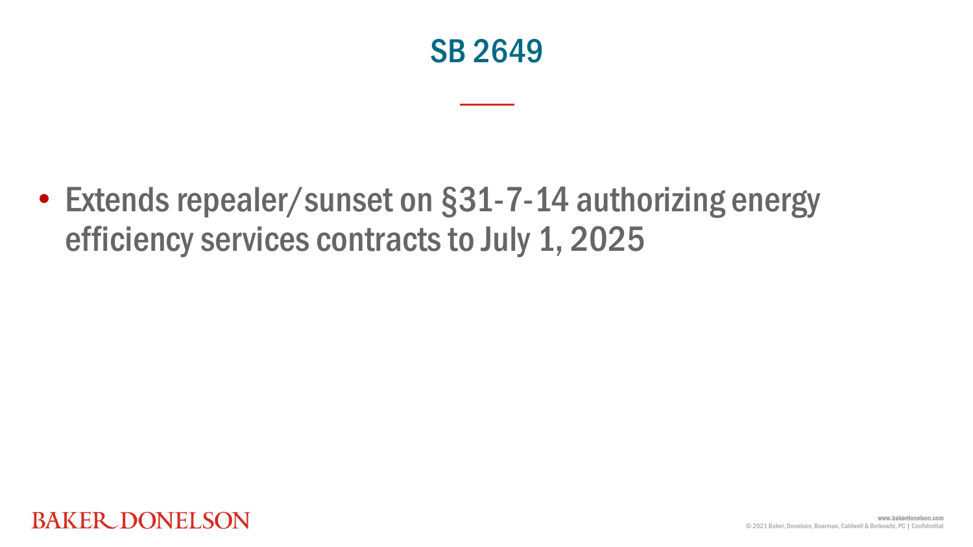

• Extends repealer/sunset on §31-7-14 authorizing energy efficiency services contracts to July 1, 2025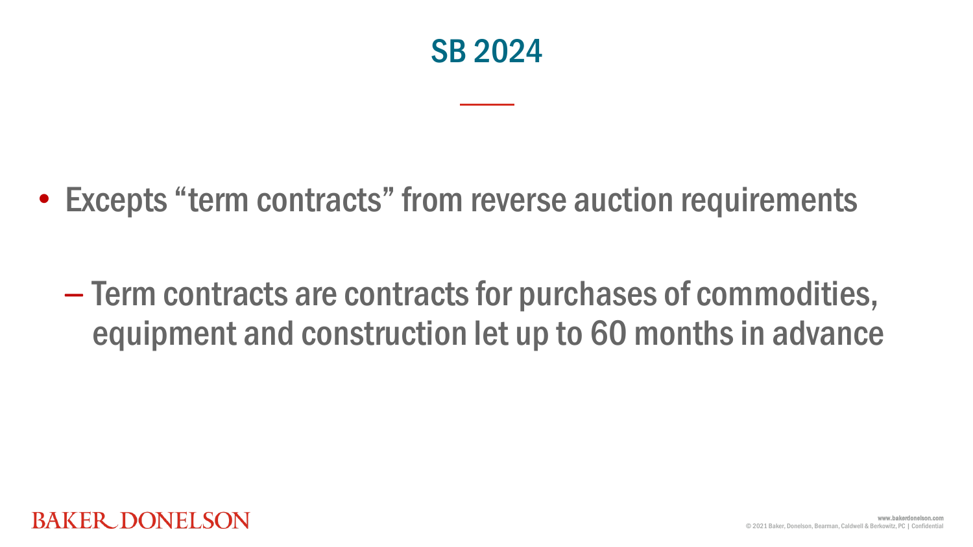

• Excepts "term contracts" from reverse auction requirements

– Term contracts are contracts for purchases of commodities, equipment and construction let up to 60 months in advance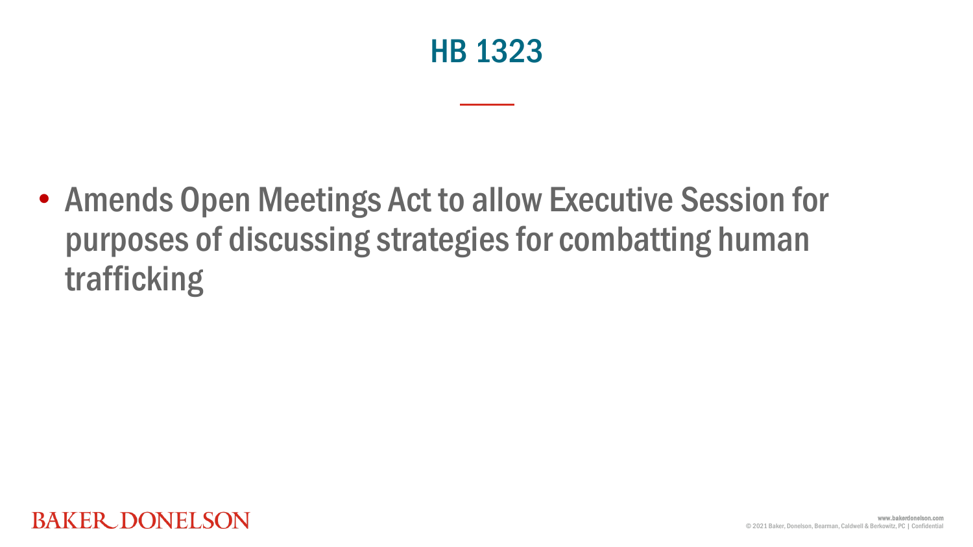

• Amends Open Meetings Act to allow Executive Session for purposes of discussing strategies for combatting human trafficking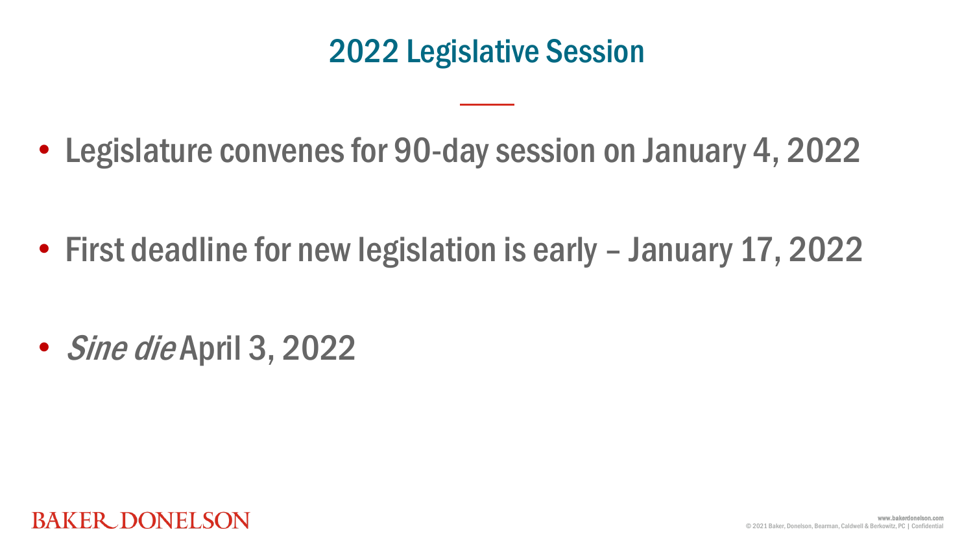#### 2022 Legislative Session

• Legislature convenes for 90-day session on January 4, 2022

• First deadline for new legislation is early – January 17, 2022

• *Sine die* April 3, 2022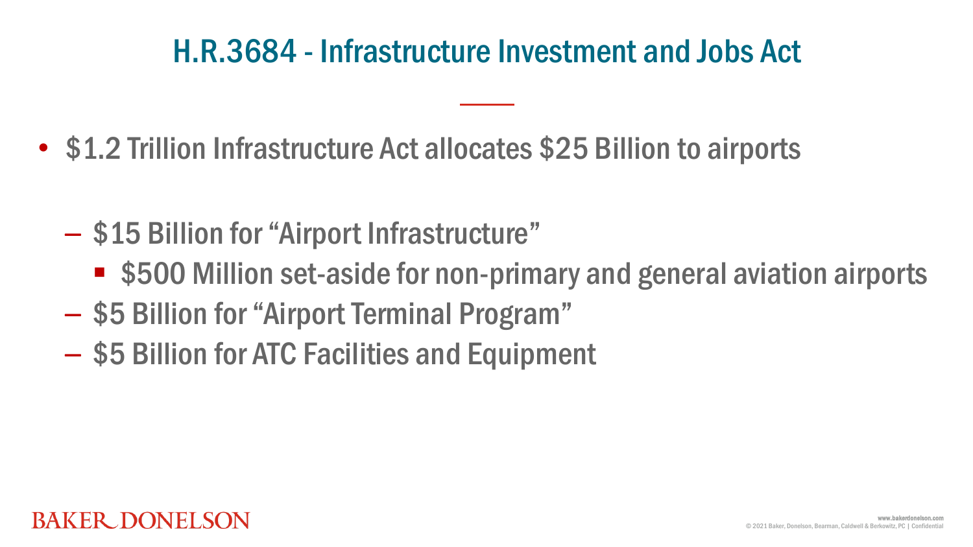#### H.R.3684 - Infrastructure Investment and Jobs Act

- \$1.2 Trillion Infrastructure Act allocates \$25 Billion to airports
	- \$15 Billion for "Airport Infrastructure"
		- \$500 Million set-aside for non-primary and general aviation airports
	- \$5 Billion for "Airport Terminal Program"
	- \$5 Billion for ATC Facilities and Equipment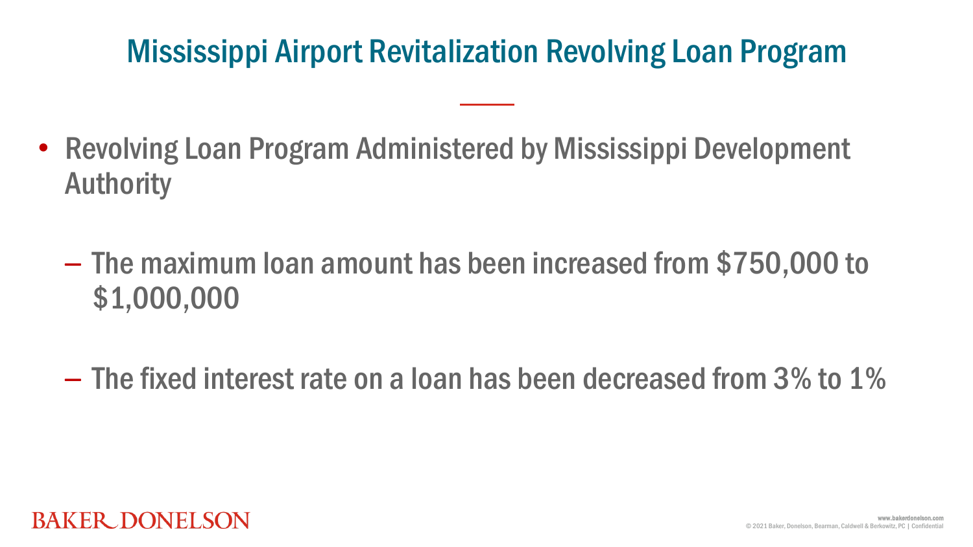#### Mississippi Airport Revitalization Revolving Loan Program

- Revolving Loan Program Administered by Mississippi Development Authority
	- The maximum loan amount has been increased from \$750,000 to \$1,000,000
	- The fixed interest rate on a loan has been decreased from 3% to 1%